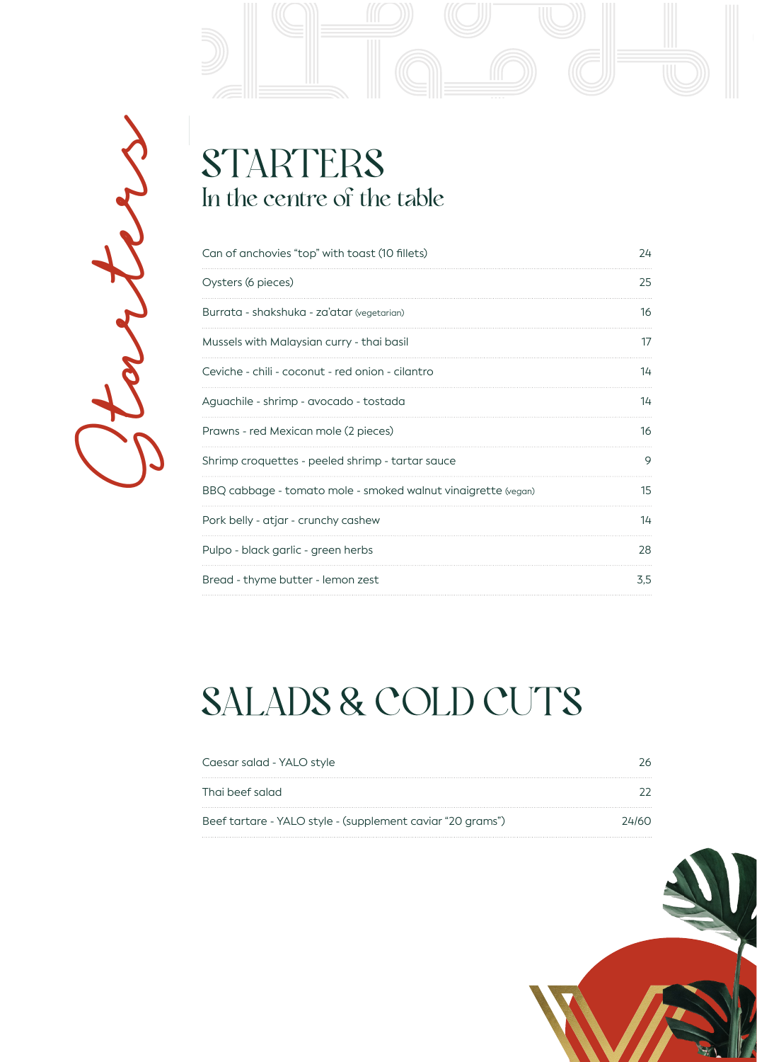

# Starters

### **STARTERS** In the centre of the table

| Can of anchovies "top" with toast (10 fillets)                | 24  |
|---------------------------------------------------------------|-----|
| Oysters (6 pieces)                                            | 25  |
| Burrata - shakshuka - za'atar (vegetarian)                    | 16  |
| Mussels with Malaysian curry - thai basil                     | 17  |
| Ceviche - chili - coconut - red onion - cilantro              | 14  |
| Aguachile - shrimp - avocado - tostada                        | 14  |
| Prawns - red Mexican mole (2 pieces)                          | 16  |
| Shrimp croquettes - peeled shrimp - tartar sauce              | 9   |
| BBQ cabbage - tomato mole - smoked walnut vinaigrette (vegan) | 15  |
| Pork belly - atjar - crunchy cashew                           | 14  |
| Pulpo - black garlic - green herbs                            | 28  |
| Bread - thyme butter - lemon zest                             | 3.5 |

# SALADS & COLD CUTS

| Caesar salad - YALO style                                  |       |
|------------------------------------------------------------|-------|
| Thai beef salad                                            |       |
| Beef tartare - YALO style - (supplement caviar "20 grams") | 24160 |